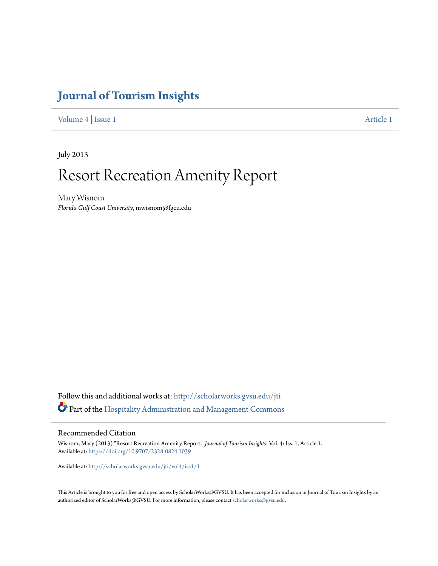# **[Journal of Tourism Insights](http://scholarworks.gvsu.edu/jti?utm_source=scholarworks.gvsu.edu%2Fjti%2Fvol4%2Fiss1%2F1&utm_medium=PDF&utm_campaign=PDFCoverPages)**

[Volume 4](http://scholarworks.gvsu.edu/jti/vol4?utm_source=scholarworks.gvsu.edu%2Fjti%2Fvol4%2Fiss1%2F1&utm_medium=PDF&utm_campaign=PDFCoverPages) | [Issue 1](http://scholarworks.gvsu.edu/jti/vol4/iss1?utm_source=scholarworks.gvsu.edu%2Fjti%2Fvol4%2Fiss1%2F1&utm_medium=PDF&utm_campaign=PDFCoverPages) [Article 1](http://scholarworks.gvsu.edu/jti/vol4/iss1/1?utm_source=scholarworks.gvsu.edu%2Fjti%2Fvol4%2Fiss1%2F1&utm_medium=PDF&utm_campaign=PDFCoverPages)

July 2013

# Resort Recreation Amenity Report

Mary Wisnom *Florida Gulf Coast University*, mwisnom@fgcu.edu

Follow this and additional works at: [http://scholarworks.gvsu.edu/jti](http://scholarworks.gvsu.edu/jti?utm_source=scholarworks.gvsu.edu%2Fjti%2Fvol4%2Fiss1%2F1&utm_medium=PDF&utm_campaign=PDFCoverPages) Part of the [Hospitality Administration and Management Commons](http://network.bepress.com/hgg/discipline/632?utm_source=scholarworks.gvsu.edu%2Fjti%2Fvol4%2Fiss1%2F1&utm_medium=PDF&utm_campaign=PDFCoverPages)

#### Recommended Citation

Wisnom, Mary (2013) "Resort Recreation Amenity Report," *Journal of Tourism Insights*: Vol. 4: Iss. 1, Article 1. Available at: <https://doi.org/10.9707/2328-0824.1039>

Available at: [http://scholarworks.gvsu.edu/jti/vol4/iss1/1](http://scholarworks.gvsu.edu/jti/vol4/iss1/1?utm_source=scholarworks.gvsu.edu%2Fjti%2Fvol4%2Fiss1%2F1&utm_medium=PDF&utm_campaign=PDFCoverPages)

This Article is brought to you for free and open access by ScholarWorks@GVSU. It has been accepted for inclusion in Journal of Tourism Insights by an authorized editor of ScholarWorks@GVSU. For more information, please contact [scholarworks@gvsu.edu](mailto:scholarworks@gvsu.edu).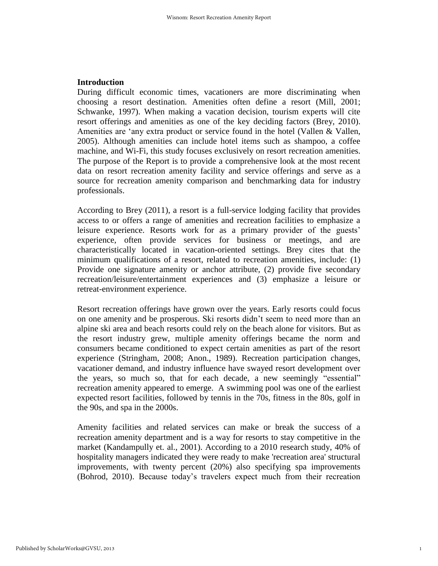# **Introduction**

During difficult economic times, vacationers are more discriminating when choosing a resort destination. Amenities often define a resort (Mill, 2001; Schwanke, 1997). When making a vacation decision, tourism experts will cite resort offerings and amenities as one of the key deciding factors (Brey, 2010). Amenities are 'any extra product or service found in the hotel (Vallen & Vallen, 2005). Although amenities can include hotel items such as shampoo, a coffee machine, and Wi-Fi, this study focuses exclusively on resort recreation amenities. The purpose of the Report is to provide a comprehensive look at the most recent data on resort recreation amenity facility and service offerings and serve as a source for recreation amenity comparison and benchmarking data for industry professionals.

According to Brey (2011), a resort is a full-service lodging facility that provides access to or offers a range of amenities and recreation facilities to emphasize a leisure experience. Resorts work for as a primary provider of the guests' experience, often provide services for business or meetings, and are characteristically located in vacation-oriented settings. Brey cites that the minimum qualifications of a resort, related to recreation amenities, include: (1) Provide one signature amenity or anchor attribute, (2) provide five secondary recreation/leisure/entertainment experiences and (3) emphasize a leisure or retreat-environment experience.

Resort recreation offerings have grown over the years. Early resorts could focus on one amenity and be prosperous. Ski resorts didn't seem to need more than an alpine ski area and beach resorts could rely on the beach alone for visitors. But as the resort industry grew, multiple amenity offerings became the norm and consumers became conditioned to expect certain amenities as part of the resort experience (Stringham, 2008; Anon., 1989). Recreation participation changes, vacationer demand, and industry influence have swayed resort development over the years, so much so, that for each decade, a new seemingly "essential" recreation amenity appeared to emerge. A swimming pool was one of the earliest expected resort facilities, followed by tennis in the 70s, fitness in the 80s, golf in the 90s, and spa in the 2000s.

Amenity facilities and related services can make or break the success of a recreation amenity department and is a way for resorts to stay competitive in the market (Kandampully et. al., 2001). According to a 2010 research study, 40% of hospitality managers indicated they were ready to make 'recreation area' structural improvements, with twenty percent (20%) also specifying spa improvements (Bohrod, 2010). Because today's travelers expect much from their recreation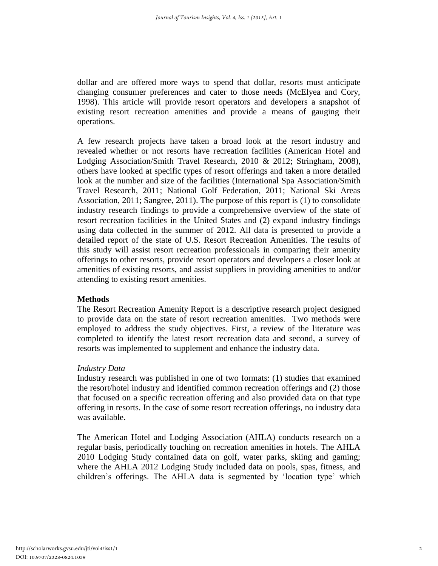dollar and are offered more ways to spend that dollar, resorts must anticipate changing consumer preferences and cater to those needs (McElyea and Cory, 1998). This article will provide resort operators and developers a snapshot of existing resort recreation amenities and provide a means of gauging their operations.

A few research projects have taken a broad look at the resort industry and revealed whether or not resorts have recreation facilities (American Hotel and Lodging Association/Smith Travel Research, 2010 & 2012; Stringham, 2008), others have looked at specific types of resort offerings and taken a more detailed look at the number and size of the facilities (International Spa Association/Smith Travel Research, 2011; National Golf Federation, 2011; National Ski Areas Association, 2011; Sangree, 2011). The purpose of this report is (1) to consolidate industry research findings to provide a comprehensive overview of the state of resort recreation facilities in the United States and (2) expand industry findings using data collected in the summer of 2012. All data is presented to provide a detailed report of the state of U.S. Resort Recreation Amenities. The results of this study will assist resort recreation professionals in comparing their amenity offerings to other resorts, provide resort operators and developers a closer look at amenities of existing resorts, and assist suppliers in providing amenities to and/or attending to existing resort amenities.

#### **Methods**

The Resort Recreation Amenity Report is a descriptive research project designed to provide data on the state of resort recreation amenities. Two methods were employed to address the study objectives. First, a review of the literature was completed to identify the latest resort recreation data and second, a survey of resorts was implemented to supplement and enhance the industry data.

#### *Industry Data*

Industry research was published in one of two formats: (1) studies that examined the resort/hotel industry and identified common recreation offerings and (2) those that focused on a specific recreation offering and also provided data on that type offering in resorts. In the case of some resort recreation offerings, no industry data was available.

The American Hotel and Lodging Association (AHLA) conducts research on a regular basis, periodically touching on recreation amenities in hotels. The AHLA 2010 Lodging Study contained data on golf, water parks, skiing and gaming; where the AHLA 2012 Lodging Study included data on pools, spas, fitness, and children's offerings. The AHLA data is segmented by 'location type' which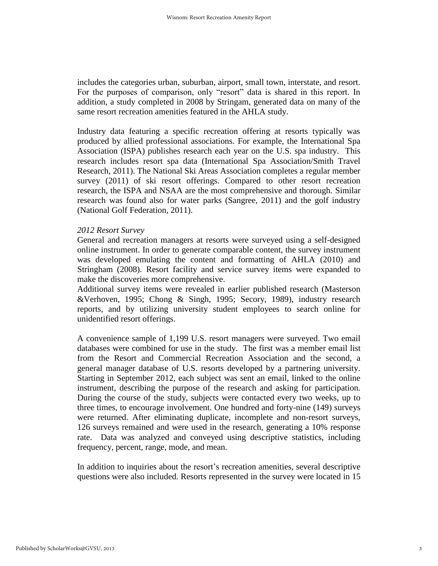includes the categories urban, suburban, airport, small town, interstate, and resort. For the purposes of comparison, only "resort" data is shared in this report. In addition, a study completed in 2008 by Stringam, generated data on many of the same resort recreation amenities featured in the AHLA study.

Industry data featuring a specific recreation offering at resorts typically was produced by allied professional associations. For example, the International Spa Association (ISPA) publishes research each year on the U.S. spa industry. This research includes resort spa data (International Spa Association/Smith Travel Research, 2011). The National Ski Areas Association completes a regular member survey (2011) of ski resort offerings. Compared to other resort recreation research, the ISPA and NSAA are the most comprehensive and thorough. Similar research was found also for water parks (Sangree, 2011) and the golf industry (National Golf Federation, 2011).

#### *2012 Resort Survey*

General and recreation managers at resorts were surveyed using a self-designed online instrument. In order to generate comparable content, the survey instrument was developed emulating the content and formatting of AHLA (2010) and Stringham (2008). Resort facility and service survey items were expanded to make the discoveries more comprehensive.

Additional survey items were revealed in earlier published research (Masterson &Verhoven, 1995; Chong & Singh, 1995; Secory, 1989), industry research reports, and by utilizing university student employees to search online for unidentified resort offerings.

A convenience sample of 1,199 U.S. resort managers were surveyed. Two email databases were combined for use in the study. The first was a member email list from the Resort and Commercial Recreation Association and the second, a general manager database of U.S. resorts developed by a partnering university. Starting in September 2012, each subject was sent an email, linked to the online instrument, describing the purpose of the research and asking for participation. During the course of the study, subjects were contacted every two weeks, up to three times, to encourage involvement. One hundred and forty-nine (149) surveys were returned. After eliminating duplicate, incomplete and non-resort surveys, 126 surveys remained and were used in the research, generating a 10% response rate. Data was analyzed and conveyed using descriptive statistics, including frequency, percent, range, mode, and mean.

In addition to inquiries about the resort's recreation amenities, several descriptive questions were also included. Resorts represented in the survey were located in 15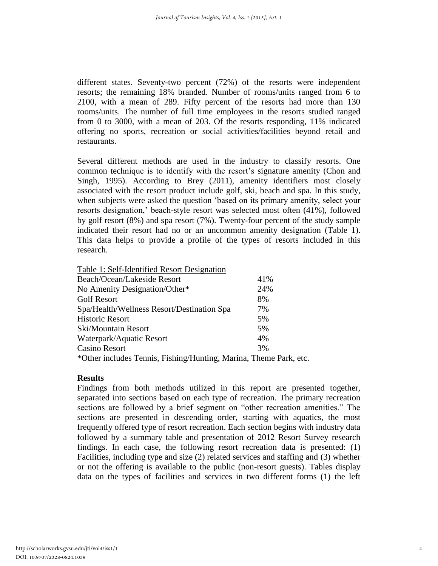different states. Seventy-two percent (72%) of the resorts were independent resorts; the remaining 18% branded. Number of rooms/units ranged from 6 to 2100, with a mean of 289. Fifty percent of the resorts had more than 130 rooms/units. The number of full time employees in the resorts studied ranged from 0 to 3000, with a mean of 203. Of the resorts responding, 11% indicated offering no sports, recreation or social activities/facilities beyond retail and restaurants.

Several different methods are used in the industry to classify resorts. One common technique is to identify with the resort's signature amenity (Chon and Singh, 1995). According to Brey (2011), amenity identifiers most closely associated with the resort product include golf, ski, beach and spa. In this study, when subjects were asked the question 'based on its primary amenity, select your resorts designation,' beach-style resort was selected most often (41%), followed by golf resort (8%) and spa resort (7%). Twenty-four percent of the study sample indicated their resort had no or an uncommon amenity designation (Table 1). This data helps to provide a profile of the types of resorts included in this research.

| Table 1: Self-Identified Resort Designation                         |     |  |
|---------------------------------------------------------------------|-----|--|
| Beach/Ocean/Lakeside Resort                                         | 41% |  |
| No Amenity Designation/Other*                                       | 24% |  |
| <b>Golf Resort</b>                                                  | 8%  |  |
| Spa/Health/Wellness Resort/Destination Spa                          | 7%  |  |
| <b>Historic Resort</b>                                              | 5%  |  |
| Ski/Mountain Resort                                                 | 5%  |  |
| Waterpark/Aquatic Resort                                            | 4%  |  |
| <b>Casino Resort</b>                                                | 3%  |  |
| $\sim$<br>$\mathbf{1} \cap \mathbf{1}$ $\mathbf{1} \cap \mathbf{1}$ | —   |  |

\*Other includes Tennis, Fishing/Hunting, Marina, Theme Park, etc.

# **Results**

Findings from both methods utilized in this report are presented together, separated into sections based on each type of recreation. The primary recreation sections are followed by a brief segment on "other recreation amenities." The sections are presented in descending order, starting with aquatics, the most frequently offered type of resort recreation. Each section begins with industry data followed by a summary table and presentation of 2012 Resort Survey research findings. In each case, the following resort recreation data is presented: (1) Facilities, including type and size (2) related services and staffing and (3) whether or not the offering is available to the public (non-resort guests). Tables display data on the types of facilities and services in two different forms (1) the left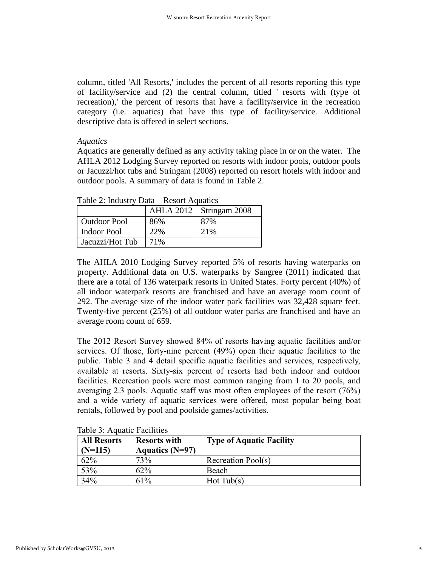column, titled 'All Resorts,' includes the percent of all resorts reporting this type of facility/service and (2) the central column, titled ' resorts with (type of recreation),' the percent of resorts that have a facility/service in the recreation category (i.e. aquatics) that have this type of facility/service. Additional descriptive data is offered in select sections.

#### *Aquatics*

Aquatics are generally defined as any activity taking place in or on the water. The AHLA 2012 Lodging Survey reported on resorts with indoor pools, outdoor pools or Jacuzzi/hot tubs and Stringam (2008) reported on resort hotels with indoor and outdoor pools. A summary of data is found in Table 2.

| $1000$ $\mu$ , $10000$ $\mu$ $1000$ $\mu$ $1000$ |     |                           |
|--------------------------------------------------|-----|---------------------------|
|                                                  |     | AHLA 2012   Stringam 2008 |
| <b>Outdoor Pool</b>                              | 86% | 87%                       |
| Indoor Pool                                      | 22% | 21\%                      |
| Jacuzzi/Hot Tub                                  | 71% |                           |

Table  $2$ : Industry Data – Resort Aquatics

The AHLA 2010 Lodging Survey reported 5% of resorts having waterparks on property. Additional data on U.S. waterparks by Sangree (2011) indicated that there are a total of 136 waterpark resorts in United States. Forty percent (40%) of all indoor waterpark resorts are franchised and have an average room count of 292. The average size of the indoor water park facilities was 32,428 square feet. Twenty-five percent (25%) of all outdoor water parks are franchised and have an average room count of 659.

The 2012 Resort Survey showed 84% of resorts having aquatic facilities and/or services. Of those, forty-nine percent (49%) open their aquatic facilities to the public. Table 3 and 4 detail specific aquatic facilities and services, respectively, available at resorts. Sixty-six percent of resorts had both indoor and outdoor facilities. Recreation pools were most common ranging from 1 to 20 pools, and averaging 2.3 pools. Aquatic staff was most often employees of the resort (76%) and a wide variety of aquatic services were offered, most popular being boat rentals, followed by pool and poolside games/activities.

| <b>All Resorts</b><br>$(N=115)$ | <b>Resorts with</b><br><b>Aquatics (N=97)</b> | <b>Type of Aquatic Facility</b> |
|---------------------------------|-----------------------------------------------|---------------------------------|
| 62%                             | 73%                                           | Recreation Pool(s)              |
| 53%                             | 62%                                           | Beach                           |
| 34%                             | 61%                                           | Hot Tub(s)                      |

Table  $3$ : Aquatic Facilities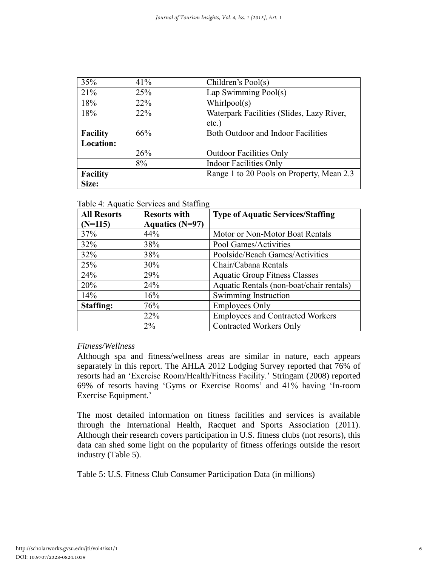| 35%             | 41%        | Children's Pool(s)                        |  |
|-----------------|------------|-------------------------------------------|--|
| 21%             | 25%        | Lap Swimming Pool(s)                      |  |
| 18%             | 22%        | Whirlpool(s)                              |  |
| 18%             | <b>22%</b> | Waterpark Facilities (Slides, Lazy River, |  |
|                 |            | $etc.$ )                                  |  |
| <b>Facility</b> | 66%        | Both Outdoor and Indoor Facilities        |  |
| Location:       |            |                                           |  |
|                 | 26%        | <b>Outdoor Facilities Only</b>            |  |
|                 | 8%         | <b>Indoor Facilities Only</b>             |  |
| <b>Facility</b> |            | Range 1 to 20 Pools on Property, Mean 2.3 |  |
| Size:           |            |                                           |  |

# Table 4: Aquatic Services and Staffing

| <b>All Resorts</b> | <b>Resorts with</b> | <b>Type of Aquatic Services/Staffing</b> |
|--------------------|---------------------|------------------------------------------|
| $(N=115)$          | Aquatics $(N=97)$   |                                          |
| 37%                | 44%                 | Motor or Non-Motor Boat Rentals          |
| 32%                | 38%                 | Pool Games/Activities                    |
| 32%                | 38%                 | Poolside/Beach Games/Activities          |
| 25%                | 30%                 | Chair/Cabana Rentals                     |
| 24%                | 29%                 | <b>Aquatic Group Fitness Classes</b>     |
| 20%                | 24%                 | Aquatic Rentals (non-boat/chair rentals) |
| 14%                | 16%                 | Swimming Instruction                     |
| Staffing:          | 76%                 | <b>Employees Only</b>                    |
|                    | 22%                 | <b>Employees and Contracted Workers</b>  |
|                    | $2\%$               | <b>Contracted Workers Only</b>           |

# *Fitness/Wellness*

Although spa and fitness/wellness areas are similar in nature, each appears separately in this report. The AHLA 2012 Lodging Survey reported that 76% of resorts had an 'Exercise Room/Health/Fitness Facility.' Stringam (2008) reported 69% of resorts having 'Gyms or Exercise Rooms' and 41% having 'In-room Exercise Equipment.'

The most detailed information on fitness facilities and services is available through the International Health, Racquet and Sports Association (2011). Although their research covers participation in U.S. fitness clubs (not resorts), this data can shed some light on the popularity of fitness offerings outside the resort industry (Table 5).

Table 5: U.S. Fitness Club Consumer Participation Data (in millions)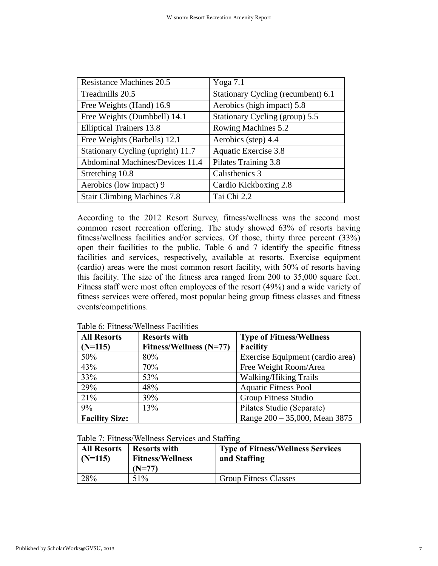| <b>Resistance Machines 20.5</b>        | Yoga $7.1$                         |
|----------------------------------------|------------------------------------|
| Treadmills 20.5                        | Stationary Cycling (recumbent) 6.1 |
| Free Weights (Hand) 16.9               | Aerobics (high impact) 5.8         |
| Free Weights (Dumbbell) 14.1           | Stationary Cycling (group) 5.5     |
| <b>Elliptical Trainers 13.8</b>        | Rowing Machines 5.2                |
| Free Weights (Barbells) 12.1           | Aerobics (step) 4.4                |
| Stationary Cycling (upright) 11.7      | Aquatic Exercise 3.8               |
| <b>Abdominal Machines/Devices 11.4</b> | Pilates Training 3.8               |
| Stretching 10.8                        | Calisthenics 3                     |
| Aerobics (low impact) 9                | Cardio Kickboxing 2.8              |
| <b>Stair Climbing Machines 7.8</b>     | Tai Chi 2.2                        |

According to the 2012 Resort Survey, fitness/wellness was the second most common resort recreation offering. The study showed 63% of resorts having fitness/wellness facilities and/or services. Of those, thirty three percent (33%) open their facilities to the public. Table 6 and 7 identify the specific fitness facilities and services, respectively, available at resorts. Exercise equipment (cardio) areas were the most common resort facility, with 50% of resorts having this facility. The size of the fitness area ranged from 200 to 35,000 square feet. Fitness staff were most often employees of the resort (49%) and a wide variety of fitness services were offered, most popular being group fitness classes and fitness events/competitions.

| <b>All Resorts</b>    | <b>Resorts with</b>     | <b>Type of Fitness/Wellness</b>  |
|-----------------------|-------------------------|----------------------------------|
| $(N=115)$             | Fitness/Wellness (N=77) | <b>Facility</b>                  |
| 50%                   | 80%                     | Exercise Equipment (cardio area) |
| 43%                   | 70%                     | Free Weight Room/Area            |
| 33%                   | 53%                     | <b>Walking/Hiking Trails</b>     |
| 29%                   | 48%                     | <b>Aquatic Fitness Pool</b>      |
| 21%                   | 39%                     | Group Fitness Studio             |
| 9%                    | 13%                     | Pilates Studio (Separate)        |
| <b>Facility Size:</b> |                         | Range $200 - 35,000$ , Mean 3875 |

Table 6: Fitness/Wellness Facilities

Table 7: Fitness/Wellness Services and Staffing

| <b>All Resorts</b><br>$(N=115)$ | <b>Resorts with</b><br><b>Fitness/Wellness</b><br>$(N=77)$ | <b>Type of Fitness/Wellness Services</b><br>and Staffing |
|---------------------------------|------------------------------------------------------------|----------------------------------------------------------|
| 28%                             | 51%                                                        | <b>Group Fitness Classes</b>                             |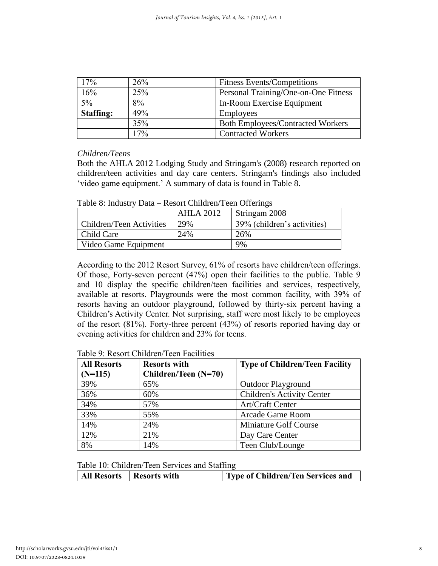| 17%              | 26% | <b>Fitness Events/Competitions</b>       |
|------------------|-----|------------------------------------------|
| 16%              | 25% | Personal Training/One-on-One Fitness     |
| $5\%$            | 8%  | In-Room Exercise Equipment               |
| <b>Staffing:</b> | 49% | <b>Employees</b>                         |
|                  | 35% | <b>Both Employees/Contracted Workers</b> |
|                  | 17% | <b>Contracted Workers</b>                |

## *Children/Teens*

Both the AHLA 2012 Lodging Study and Stringam's (2008) research reported on children/teen activities and day care centers. Stringam's findings also included 'video game equipment.' A summary of data is found in Table 8.

|                          | AHLA 2012 | Stringam 2008               |
|--------------------------|-----------|-----------------------------|
| Children/Teen Activities | 29%       | 39% (children's activities) |
| Child Care               | 24%       | 26%                         |
| Video Game Equipment     |           | 9%                          |

According to the 2012 Resort Survey, 61% of resorts have children/teen offerings. Of those, Forty-seven percent (47%) open their facilities to the public. Table 9 and 10 display the specific children/teen facilities and services, respectively, available at resorts. Playgrounds were the most common facility, with 39% of resorts having an outdoor playground, followed by thirty-six percent having a Children's Activity Center. Not surprising, staff were most likely to be employees of the resort (81%). Forty-three percent (43%) of resorts reported having day or evening activities for children and 23% for teens.

| <b>All Resorts</b> | <b>Resorts with</b>  | <b>Type of Children/Teen Facility</b> |
|--------------------|----------------------|---------------------------------------|
| $(N=115)$          | Children/Teen (N=70) |                                       |
| 39%                | 65%                  | <b>Outdoor Playground</b>             |
| 36%                | 60%                  | <b>Children's Activity Center</b>     |
| 34%                | 57%                  | Art/Craft Center                      |
| 33%                | 55%                  | Arcade Game Room                      |
| 14%                | 24%                  | Miniature Golf Course                 |
| 12%                | 21%                  | Day Care Center                       |
| 8%                 | 14%                  | Teen Club/Lounge                      |

Table 9: Resort Children/Teen Facilities

Table 10: Children/Teen Services and Staffing

| All Resorts   Resorts with | <b>Type of Children/Ten Services and</b> |
|----------------------------|------------------------------------------|
|----------------------------|------------------------------------------|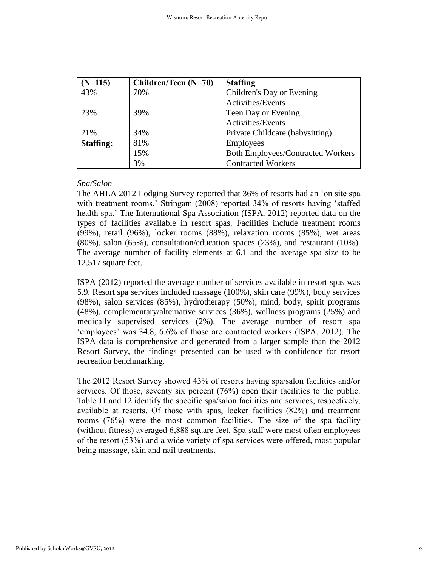| $(N=115)$        | Children/Teen (N=70) | <b>Staffing</b>                          |
|------------------|----------------------|------------------------------------------|
| 43%              | 70%                  | Children's Day or Evening                |
|                  |                      | Activities/Events                        |
| 23%              | 39%                  | Teen Day or Evening                      |
|                  |                      | Activities/Events                        |
| 21%              | 34%                  | Private Childcare (babysitting)          |
| <b>Staffing:</b> | 81%                  | <b>Employees</b>                         |
|                  | 15%                  | <b>Both Employees/Contracted Workers</b> |
|                  | 3%                   | <b>Contracted Workers</b>                |

## *Spa/Salon*

The AHLA 2012 Lodging Survey reported that 36% of resorts had an 'on site spa with treatment rooms.' Stringam (2008) reported 34% of resorts having 'staffed health spa.' The International Spa Association (ISPA, 2012) reported data on the types of facilities available in resort spas. Facilities include treatment rooms (99%), retail (96%), locker rooms (88%), relaxation rooms (85%), wet areas (80%), salon (65%), consultation/education spaces (23%), and restaurant (10%). The average number of facility elements at 6.1 and the average spa size to be 12,517 square feet.

ISPA (2012) reported the average number of services available in resort spas was 5.9. Resort spa services included massage (100%), skin care (99%), body services (98%), salon services (85%), hydrotherapy (50%), mind, body, spirit programs (48%), complementary/alternative services (36%), wellness programs (25%) and medically supervised services (2%). The average number of resort spa 'employees' was 34.8, 6.6% of those are contracted workers (ISPA, 2012). The ISPA data is comprehensive and generated from a larger sample than the 2012 Resort Survey, the findings presented can be used with confidence for resort recreation benchmarking.

The 2012 Resort Survey showed 43% of resorts having spa/salon facilities and/or services. Of those, seventy six percent (76%) open their facilities to the public. Table 11 and 12 identify the specific spa/salon facilities and services, respectively, available at resorts. Of those with spas, locker facilities (82%) and treatment rooms (76%) were the most common facilities. The size of the spa facility (without fitness) averaged 6,888 square feet. Spa staff were most often employees of the resort (53%) and a wide variety of spa services were offered, most popular being massage, skin and nail treatments.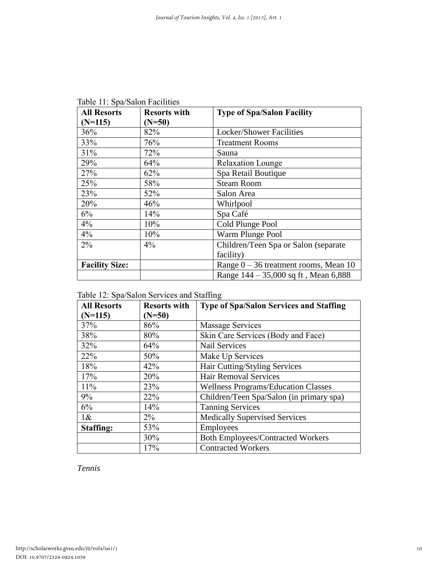| <b>All Resorts</b>    | <b>Resorts with</b> | <b>Type of Spa/Salon Facility</b>       |
|-----------------------|---------------------|-----------------------------------------|
| $(N=115)$             | $(N=50)$            |                                         |
| 36%                   | 82%                 | <b>Locker/Shower Facilities</b>         |
| 33%                   | 76%                 | <b>Treatment Rooms</b>                  |
| 31%                   | 72%                 | Sauna                                   |
| 29%                   | 64%                 | <b>Relaxation Lounge</b>                |
| 27%                   | 62%                 | Spa Retail Boutique                     |
| 25%                   | 58%                 | <b>Steam Room</b>                       |
| 23%                   | 52%                 | Salon Area                              |
| 20%                   | 46%                 | Whirlpool                               |
| 6%                    | 14%                 | Spa Café                                |
| 4%                    | 10%                 | Cold Plunge Pool                        |
| 4%                    | 10%                 | Warm Plunge Pool                        |
| $2\%$                 | $4\%$               | Children/Teen Spa or Salon (separate)   |
|                       |                     | facility)                               |
| <b>Facility Size:</b> |                     | Range $0 - 36$ treatment rooms, Mean 10 |
|                       |                     | Range 144 – 35,000 sq ft, Mean 6,888    |

Table 11: Spa/Salon Facilities

| Table 12: Spa/Salon Services and Staffing |  |
|-------------------------------------------|--|
|-------------------------------------------|--|

| <b>All Resorts</b><br>$(N=115)$ | <b>Resorts with</b><br>$(N=50)$ | <b>Type of Spa/Salon Services and Staffing</b> |
|---------------------------------|---------------------------------|------------------------------------------------|
| 37%                             | 86%                             | Massage Services                               |
| 38%                             | 80%                             | Skin Care Services (Body and Face)             |
| 32%                             | 64%                             | <b>Nail Services</b>                           |
| 22%                             | 50%                             | Make Up Services                               |
| 18%                             | 42%                             | Hair Cutting/Styling Services                  |
| 17%                             | 20%                             | <b>Hair Removal Services</b>                   |
| 11%                             | 23%                             | <b>Wellness Programs/Education Classes</b>     |
| 9%                              | 22%                             | Children/Teen Spa/Salon (in primary spa)       |
| 6%                              | 14%                             | <b>Tanning Services</b>                        |
| $1\&$                           | $2\%$                           | <b>Medically Supervised Services</b>           |
| <b>Staffing:</b>                | 53%                             | <b>Employees</b>                               |
|                                 | 30%                             | <b>Both Employees/Contracted Workers</b>       |
|                                 | 17%                             | <b>Contracted Workers</b>                      |

*Tennis*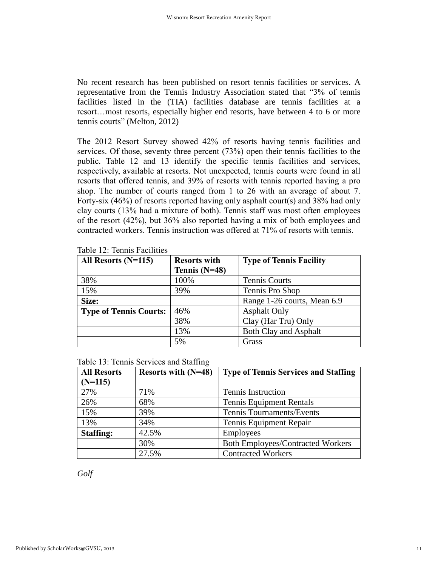No recent research has been published on resort tennis facilities or services. A representative from the Tennis Industry Association stated that "3% of tennis facilities listed in the (TIA) facilities database are tennis facilities at a resort…most resorts, especially higher end resorts, have between 4 to 6 or more tennis courts" (Melton, 2012)

The 2012 Resort Survey showed 42% of resorts having tennis facilities and services. Of those, seventy three percent (73%) open their tennis facilities to the public. Table 12 and 13 identify the specific tennis facilities and services, respectively, available at resorts. Not unexpected, tennis courts were found in all resorts that offered tennis, and 39% of resorts with tennis reported having a pro shop. The number of courts ranged from 1 to 26 with an average of about 7. Forty-six (46%) of resorts reported having only asphalt court(s) and 38% had only clay courts (13% had a mixture of both). Tennis staff was most often employees of the resort (42%), but 36% also reported having a mix of both employees and contracted workers. Tennis instruction was offered at 71% of resorts with tennis.

| All Resorts $(N=115)$         | <b>Resorts with</b> | <b>Type of Tennis Facility</b> |
|-------------------------------|---------------------|--------------------------------|
|                               | Tennis $(N=48)$     |                                |
| 38%                           | 100%                | <b>Tennis Courts</b>           |
| 15%                           | 39%                 | Tennis Pro Shop                |
| Size:                         |                     | Range 1-26 courts, Mean 6.9    |
| <b>Type of Tennis Courts:</b> | 46%                 | <b>Asphalt Only</b>            |
|                               | 38%                 | Clay (Har Tru) Only            |
|                               | 13%                 | <b>Both Clay and Asphalt</b>   |
|                               | 5%                  | Grass                          |

|  | Table 12: Tennis Facilities |  |
|--|-----------------------------|--|
|  |                             |  |

| Table 13: Tennis Services and Staffing |
|----------------------------------------|
|----------------------------------------|

| <b>All Resorts</b> | Resorts with (N=48) | <b>Type of Tennis Services and Staffing</b> |
|--------------------|---------------------|---------------------------------------------|
| $(N=115)$          |                     |                                             |
| 27%                | 71%                 | <b>Tennis Instruction</b>                   |
| 26%                | 68%                 | <b>Tennis Equipment Rentals</b>             |
| 15%                | 39%                 | Tennis Tournaments/Events                   |
| 13%                | 34%                 | Tennis Equipment Repair                     |
| <b>Staffing:</b>   | 42.5%               | Employees                                   |
|                    | 30%                 | <b>Both Employees/Contracted Workers</b>    |
|                    | 27.5%               | <b>Contracted Workers</b>                   |

*Golf*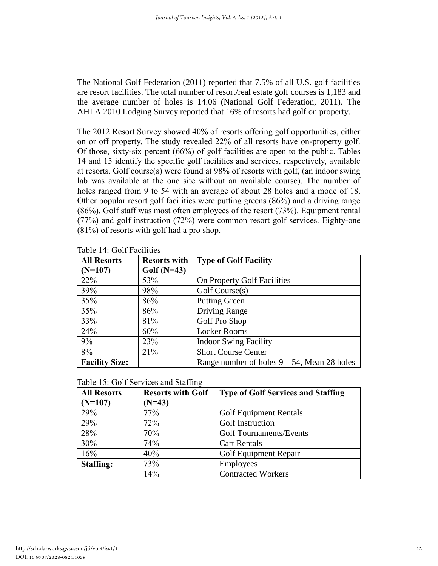The National Golf Federation (2011) reported that 7.5% of all U.S. golf facilities are resort facilities. The total number of resort/real estate golf courses is 1,183 and the average number of holes is 14.06 (National Golf Federation, 2011). The AHLA 2010 Lodging Survey reported that 16% of resorts had golf on property.

The 2012 Resort Survey showed 40% of resorts offering golf opportunities, either on or off property. The study revealed 22% of all resorts have on-property golf. Of those, sixty-six percent (66%) of golf facilities are open to the public. Tables 14 and 15 identify the specific golf facilities and services, respectively, available at resorts. Golf course(s) were found at 98% of resorts with golf, (an indoor swing lab was available at the one site without an available course). The number of holes ranged from 9 to 54 with an average of about 28 holes and a mode of 18. Other popular resort golf facilities were putting greens (86%) and a driving range (86%). Golf staff was most often employees of the resort (73%). Equipment rental (77%) and golf instruction (72%) were common resort golf services. Eighty-one (81%) of resorts with golf had a pro shop.

| <b>All Resorts</b>    | <b>Resorts with</b> | <b>Type of Golf Facility</b>                   |
|-----------------------|---------------------|------------------------------------------------|
| $(N=107)$             | Golf $(N=43)$       |                                                |
| 22%                   | 53%                 | On Property Golf Facilities                    |
| 39%                   | 98%                 | Golf Course(s)                                 |
| 35%                   | 86%                 | <b>Putting Green</b>                           |
| 35%                   | 86%                 | Driving Range                                  |
| 33%                   | 81%                 | Golf Pro Shop                                  |
| 24%                   | 60%                 | <b>Locker Rooms</b>                            |
| 9%                    | 23%                 | <b>Indoor Swing Facility</b>                   |
| 8%                    | 21%                 | <b>Short Course Center</b>                     |
| <b>Facility Size:</b> |                     | Range number of holes $9 - 54$ , Mean 28 holes |

Table 14: Golf Facilities

| Table 15: Golf Services and Staffing |  |
|--------------------------------------|--|
|--------------------------------------|--|

| <b>All Resorts</b> | <b>Resorts with Golf</b> | <b>Type of Golf Services and Staffing</b> |
|--------------------|--------------------------|-------------------------------------------|
| $(N=107)$          | $(N=43)$                 |                                           |
| 29%                | 77%                      | <b>Golf Equipment Rentals</b>             |
| 29%                | 72%                      | Golf Instruction                          |
| 28%                | 70%                      | <b>Golf Tournaments/Events</b>            |
| 30%                | 74%                      | <b>Cart Rentals</b>                       |
| 16%                | 40%                      | Golf Equipment Repair                     |
| <b>Staffing:</b>   | 73%                      | <b>Employees</b>                          |
|                    | 14%                      | <b>Contracted Workers</b>                 |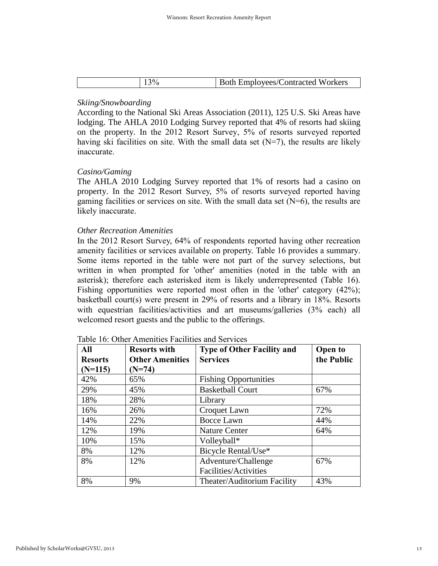| ٦Λ.<br><b>Both Employees/Contracted Workers</b> |
|-------------------------------------------------|
|-------------------------------------------------|

# *Skiing/Snowboarding*

According to the National Ski Areas Association (2011), 125 U.S. Ski Areas have lodging. The AHLA 2010 Lodging Survey reported that 4% of resorts had skiing on the property. In the 2012 Resort Survey, 5% of resorts surveyed reported having ski facilities on site. With the small data set  $(N=7)$ , the results are likely inaccurate.

## *Casino/Gaming*

The AHLA 2010 Lodging Survey reported that 1% of resorts had a casino on property. In the 2012 Resort Survey, 5% of resorts surveyed reported having gaming facilities or services on site. With the small data set  $(N=6)$ , the results are likely inaccurate.

## *Other Recreation Amenities*

In the 2012 Resort Survey, 64% of respondents reported having other recreation amenity facilities or services available on property. Table 16 provides a summary. Some items reported in the table were not part of the survey selections, but written in when prompted for 'other' amenities (noted in the table with an asterisk); therefore each asterisked item is likely underrepresented (Table 16). Fishing opportunities were reported most often in the 'other' category (42%); basketball court(s) were present in 29% of resorts and a library in 18%. Resorts with equestrian facilities/activities and art museums/galleries (3% each) all welcomed resort guests and the public to the offerings.

| All            | <b>Resorts with</b>    | <b>Type of Other Facility and</b> | <b>Open to</b> |
|----------------|------------------------|-----------------------------------|----------------|
| <b>Resorts</b> | <b>Other Amenities</b> | <b>Services</b>                   | the Public     |
| $(N=115)$      | $(N=74)$               |                                   |                |
| 42%            | 65%                    | <b>Fishing Opportunities</b>      |                |
| 29%            | 45%                    | <b>Basketball Court</b>           | 67%            |
| 18%            | 28%                    | Library                           |                |
| 16%            | 26%                    | Croquet Lawn                      | 72%            |
| 14%            | 22%                    | <b>Bocce Lawn</b>                 | 44%            |
| 12%            | 19%                    | <b>Nature Center</b>              | 64%            |
| 10%            | 15%                    | Volleyball*                       |                |
| 8%             | 12%                    | Bicycle Rental/Use*               |                |
| 8%             | 12%                    | Adventure/Challenge               | 67%            |
|                |                        | Facilities/Activities             |                |
| 8%             | 9%                     | Theater/Auditorium Facility       | 43%            |

| Table 16: Other Amenities Facilities and Services |  |
|---------------------------------------------------|--|
|---------------------------------------------------|--|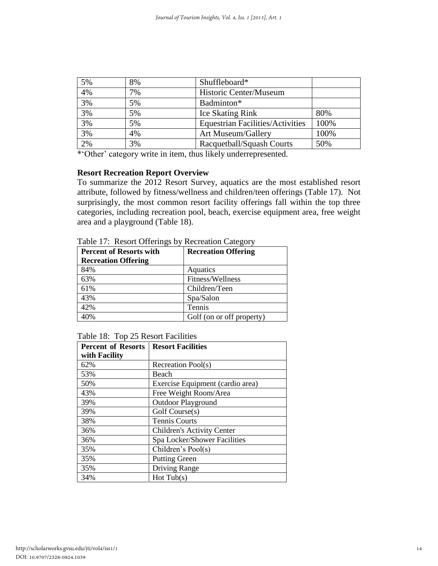| 5% | 8% | Shuffleboard*                           |      |
|----|----|-----------------------------------------|------|
| 4% | 7% | Historic Center/Museum                  |      |
| 3% | 5% | Badminton*                              |      |
| 3% | 5% | <b>Ice Skating Rink</b>                 | 80%  |
| 3% | 5% | <b>Equestrian Facilities/Activities</b> | 100% |
| 3% | 4% | Art Museum/Gallery                      | 100% |
| 2% | 3% | Racquetball/Squash Courts               | 50%  |

\*'Other' category write in item, thus likely underrepresented.

#### **Resort Recreation Report Overview**

To summarize the 2012 Resort Survey, aquatics are the most established resort attribute, followed by fitness/wellness and children/teen offerings (Table 17). Not surprisingly, the most common resort facility offerings fall within the top three categories, including recreation pool, beach, exercise equipment area, free weight area and a playground (Table 18).

| <b>Percent of Resorts with</b> | <b>Recreation Offering</b> |
|--------------------------------|----------------------------|
| <b>Recreation Offering</b>     |                            |
| 84%                            | Aquatics                   |
| 63%                            | Fitness/Wellness           |
| 61%                            | Children/Teen              |
| 43%                            | Spa/Salon                  |
| 42%                            | Tennis                     |
| 40%                            | Golf (on or off property)  |

Table 17: Resort Offerings by Recreation Category

|  |  | Table 18: Top 25 Resort Facilities |
|--|--|------------------------------------|
|--|--|------------------------------------|

| <b>Percent of Resorts</b> | <b>Resort Facilities</b>          |
|---------------------------|-----------------------------------|
| with Facility             |                                   |
| 62%                       | Recreation Pool(s)                |
| 53%                       | Beach                             |
| 50%                       | Exercise Equipment (cardio area)  |
| 43%                       | Free Weight Room/Area             |
| 39%                       | <b>Outdoor Playground</b>         |
| 39%                       | Golf Course(s)                    |
| 38%                       | <b>Tennis Courts</b>              |
| 36%                       | <b>Children's Activity Center</b> |
| 36%                       | Spa Locker/Shower Facilities      |
| 35%                       | Children's Pool(s)                |
| 35%                       | <b>Putting Green</b>              |
| 35%                       | Driving Range                     |
| 34%                       | Hot Tub(s)                        |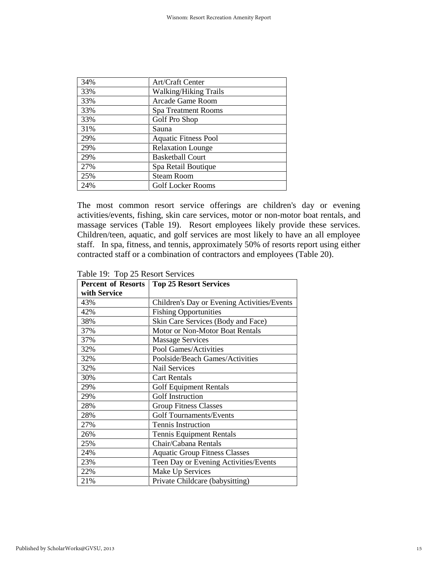| 34% | Art/Craft Center             |
|-----|------------------------------|
| 33% | <b>Walking/Hiking Trails</b> |
| 33% | Arcade Game Room             |
| 33% | Spa Treatment Rooms          |
| 33% | Golf Pro Shop                |
| 31% | Sauna                        |
| 29% | <b>Aquatic Fitness Pool</b>  |
| 29% | <b>Relaxation Lounge</b>     |
| 29% | <b>Basketball Court</b>      |
| 27% | Spa Retail Boutique          |
| 25% | <b>Steam Room</b>            |
| 24% | <b>Golf Locker Rooms</b>     |

The most common resort service offerings are children's day or evening activities/events, fishing, skin care services, motor or non-motor boat rentals, and massage services (Table 19). Resort employees likely provide these services. Children/teen, aquatic, and golf services are most likely to have an all employee staff. In spa, fitness, and tennis, approximately 50% of resorts report using either contracted staff or a combination of contractors and employees (Table 20).

| <b>Percent of Resorts</b> | <b>Top 25 Resort Services</b>               |  |
|---------------------------|---------------------------------------------|--|
| with Service              |                                             |  |
| 43%                       | Children's Day or Evening Activities/Events |  |
| 42%                       | <b>Fishing Opportunities</b>                |  |
| 38%                       | Skin Care Services (Body and Face)          |  |
| 37%                       | Motor or Non-Motor Boat Rentals             |  |
| 37%                       | <b>Massage Services</b>                     |  |
| 32%                       | Pool Games/Activities                       |  |
| 32%                       | Poolside/Beach Games/Activities             |  |
| 32%                       | <b>Nail Services</b>                        |  |
| 30%                       | <b>Cart Rentals</b>                         |  |
| 29%                       | <b>Golf Equipment Rentals</b>               |  |
| 29%                       | <b>Golf Instruction</b>                     |  |
| 28%                       | <b>Group Fitness Classes</b>                |  |
| 28%                       | <b>Golf Tournaments/Events</b>              |  |
| 27%                       | <b>Tennis Instruction</b>                   |  |
| 26%                       | <b>Tennis Equipment Rentals</b>             |  |
| 25%                       | Chair/Cabana Rentals                        |  |
| 24%                       | <b>Aquatic Group Fitness Classes</b>        |  |
| 23%                       | Teen Day or Evening Activities/Events       |  |
| 22%                       | Make Up Services                            |  |
| 21%                       | Private Childcare (babysitting)             |  |

|  |  | Table 19: Top 25 Resort Services |
|--|--|----------------------------------|
|--|--|----------------------------------|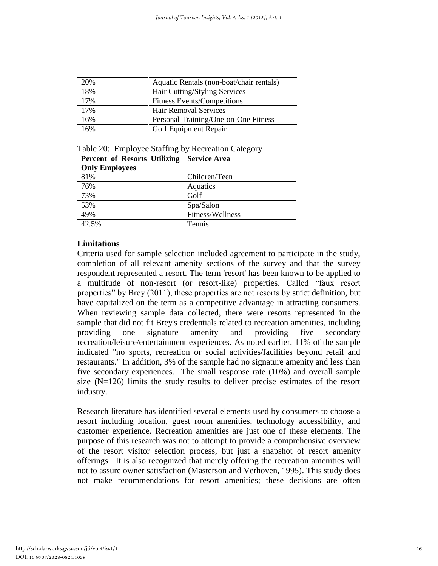| 20% | Aquatic Rentals (non-boat/chair rentals) |
|-----|------------------------------------------|
| 18% | Hair Cutting/Styling Services            |
| 17% | <b>Fitness Events/Competitions</b>       |
| 17% | <b>Hair Removal Services</b>             |
| 16% | Personal Training/One-on-One Fitness     |
| 16% | Golf Equipment Repair                    |

| Table 20: Employee Staffing by Recreation Category |  |  |  |  |  |
|----------------------------------------------------|--|--|--|--|--|
|----------------------------------------------------|--|--|--|--|--|

| <b>Percent of Resorts Utilizing</b> | <b>Service Area</b> |
|-------------------------------------|---------------------|
| <b>Only Employees</b>               |                     |
| 81%                                 | Children/Teen       |
| 76%                                 | Aquatics            |
| 73%                                 | Golf                |
| 53%                                 | Spa/Salon           |
| 49%                                 | Fitness/Wellness    |
| 42.5%                               | Tennis              |

# **Limitations**

Criteria used for sample selection included agreement to participate in the study, completion of all relevant amenity sections of the survey and that the survey respondent represented a resort. The term 'resort' has been known to be applied to a multitude of non-resort (or resort-like) properties. Called "faux resort properties" by Brey (2011), these properties are not resorts by strict definition, but have capitalized on the term as a competitive advantage in attracting consumers. When reviewing sample data collected, there were resorts represented in the sample that did not fit Brey's credentials related to recreation amenities, including providing one signature amenity and providing five secondary recreation/leisure/entertainment experiences. As noted earlier, 11% of the sample indicated "no sports, recreation or social activities/facilities beyond retail and restaurants." In addition, 3% of the sample had no signature amenity and less than five secondary experiences. The small response rate (10%) and overall sample size  $(N=126)$  limits the study results to deliver precise estimates of the resort industry.

Research literature has identified several elements used by consumers to choose a resort including location, guest room amenities, technology accessibility, and customer experience. Recreation amenities are just one of these elements. The purpose of this research was not to attempt to provide a comprehensive overview of the resort visitor selection process, but just a snapshot of resort amenity offerings. It is also recognized that merely offering the recreation amenities will not to assure owner satisfaction (Masterson and Verhoven, 1995). This study does not make recommendations for resort amenities; these decisions are often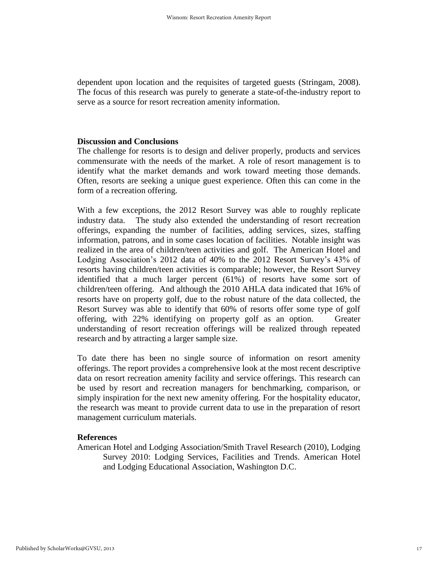dependent upon location and the requisites of targeted guests (Stringam, 2008). The focus of this research was purely to generate a state-of-the-industry report to serve as a source for resort recreation amenity information.

#### **Discussion and Conclusions**

The challenge for resorts is to design and deliver properly, products and services commensurate with the needs of the market. A role of resort management is to identify what the market demands and work toward meeting those demands. Often, resorts are seeking a unique guest experience. Often this can come in the form of a recreation offering.

With a few exceptions, the 2012 Resort Survey was able to roughly replicate industry data. The study also extended the understanding of resort recreation offerings, expanding the number of facilities, adding services, sizes, staffing information, patrons, and in some cases location of facilities. Notable insight was realized in the area of children/teen activities and golf. The American Hotel and Lodging Association's 2012 data of 40% to the 2012 Resort Survey's 43% of resorts having children/teen activities is comparable; however, the Resort Survey identified that a much larger percent (61%) of resorts have some sort of children/teen offering. And although the 2010 AHLA data indicated that 16% of resorts have on property golf, due to the robust nature of the data collected, the Resort Survey was able to identify that 60% of resorts offer some type of golf offering, with 22% identifying on property golf as an option. Greater understanding of resort recreation offerings will be realized through repeated research and by attracting a larger sample size.

To date there has been no single source of information on resort amenity offerings. The report provides a comprehensive look at the most recent descriptive data on resort recreation amenity facility and service offerings. This research can be used by resort and recreation managers for benchmarking, comparison, or simply inspiration for the next new amenity offering. For the hospitality educator, the research was meant to provide current data to use in the preparation of resort management curriculum materials.

#### **References**

American Hotel and Lodging Association/Smith Travel Research (2010), Lodging Survey 2010: Lodging Services, Facilities and Trends. American Hotel and Lodging Educational Association, Washington D.C.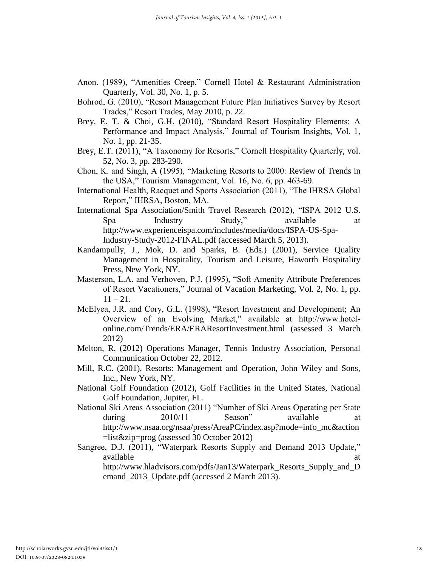- Anon. (1989), "Amenities Creep," Cornell Hotel & Restaurant Administration Quarterly, Vol. 30, No. 1, p. 5.
- Bohrod, G. (2010), "Resort Management Future Plan Initiatives Survey by Resort Trades," Resort Trades, May 2010, p. 22.
- Brey, E. T. & Choi, G.H. (2010), "Standard Resort Hospitality Elements: A Performance and Impact Analysis," Journal of Tourism Insights, Vol. 1, No. 1, pp. 21-35.
- Brey, E.T. (2011), "A Taxonomy for Resorts," Cornell Hospitality Quarterly, vol. 52, No. 3, pp. 283-290.
- Chon, K. and Singh, A (1995), "Marketing Resorts to 2000: Review of Trends in the USA," Tourism Management, Vol. 16, No. 6, pp. 463-69.
- International Health, Racquet and Sports Association (2011), "The IHRSA Global Report," IHRSA, Boston, MA.
- International Spa Association/Smith Travel Research (2012), "ISPA 2012 U.S. Spa Industry Study," available at http://www.experienceispa.com/includes/media/docs/ISPA-US-Spa-Industry-Study-2012-FINAL.pdf (accessed March 5, 2013).
- Kandampully, J., Mok, D. and Sparks, B. (Eds.) (2001), Service Quality Management in Hospitality, Tourism and Leisure, Haworth Hospitality Press, New York, NY.
- Masterson, L.A. and Verhoven, P.J. (1995), "Soft Amenity Attribute Preferences of Resort Vacationers," Journal of Vacation Marketing, Vol. 2, No. 1, pp.  $11 - 21$ .
- McElyea, J.R. and Cory, G.L. (1998), "Resort Investment and Development; An Overview of an Evolving Market," available at http://www.hotelonline.com/Trends/ERA/ERAResortInvestment.html (assessed 3 March 2012)
- Melton, R. (2012) Operations Manager, Tennis Industry Association, Personal Communication October 22, 2012.
- Mill, R.C. (2001), Resorts: Management and Operation, John Wiley and Sons, Inc., New York, NY.
- National Golf Foundation (2012), Golf Facilities in the United States, National Golf Foundation, Jupiter, FL.
- National Ski Areas Association (2011) "Number of Ski Areas Operating per State during 2010/11 Season" available at http://www.nsaa.org/nsaa/press/AreaPC/index.asp?mode=info\_mc&action =list&zip=prog (assessed 30 October 2012)
- Sangree, D.J. (2011), "Waterpark Resorts Supply and Demand 2013 Update," available at a strategies and the strategies of the strategies at a strategies of the strategies at a strategies of the strategies of the strategies of the strategies of the strategies of the strategies of the strategies o http://www.hladvisors.com/pdfs/Jan13/Waterpark\_Resorts\_Supply\_and\_D emand\_2013\_Update.pdf (accessed 2 March 2013).